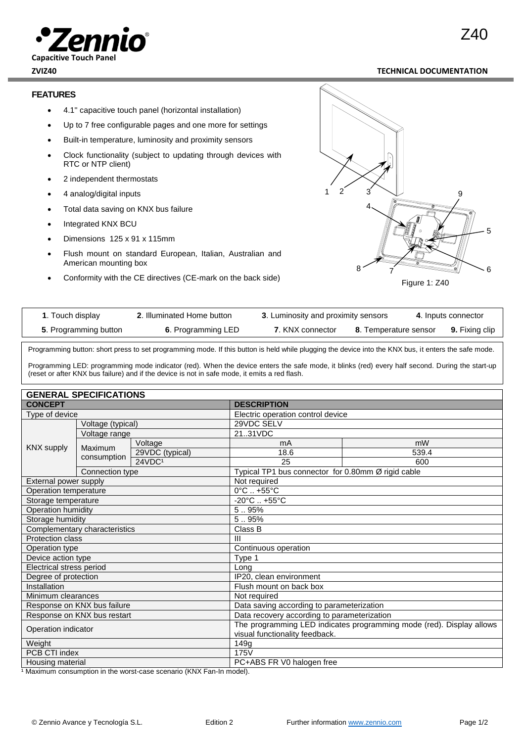#### **ZVIZ40 TECHNICAL DOCUMENTATION**

### **FEATURES**

**Capacitive Touch Panel**

- 4.1'' capacitive touch panel (horizontal installation)
- Up to 7 free configurable pages and one more for settings
- Built-in temperature, luminosity and proximity sensors
- Clock functionality (subject to updating through devices with RTC or NTP client)
- 2 independent thermostats
- 4 analog/digital inputs
- Total data saving on KNX bus failure
- Integrated KNX BCU
- Dimensions 125 x 91 x 115mm
- Flush mount on standard European, Italian, Australian and American mounting box
- Conformity with the CE directives (CE-mark on the back side)



| <b>1.</b> Touch display | 2. Illuminated Home button | 3. Luminosity and proximity sensors |                       | 4. Inputs connector   |
|-------------------------|----------------------------|-------------------------------------|-----------------------|-----------------------|
| 5. Programming button   | 6. Programming LED         | 7. KNX connector                    | 8. Temperature sensor | <b>9.</b> Fixing clip |

Programming button: short press to set programming mode. If this button is held while plugging the device into the KNX bus, it enters the safe mode.

Programming LED: programming mode indicator (red). When the device enters the safe mode, it blinks (red) every half second. During the start-up (reset or after KNX bus failure) and if the device is not in safe mode, it emits a red flash.

| <b>GENERAL SPECIFICATIONS</b> |                   |                                                                      |                                   |                                                    |  |  |
|-------------------------------|-------------------|----------------------------------------------------------------------|-----------------------------------|----------------------------------------------------|--|--|
| <b>CONCEPT</b>                |                   | <b>DESCRIPTION</b>                                                   |                                   |                                                    |  |  |
| Type of device                |                   |                                                                      | Electric operation control device |                                                    |  |  |
|                               | Voltage (typical) |                                                                      | 29VDC SELV                        |                                                    |  |  |
| Voltage range                 |                   |                                                                      | 2131VDC                           |                                                    |  |  |
| <b>KNX supply</b>             |                   | Voltage                                                              | mA                                | mW                                                 |  |  |
|                               | Maximum           | 29VDC (typical)                                                      | 18.6                              | 539.4                                              |  |  |
|                               | consumption       | 24VDC1                                                               | 25                                | 600                                                |  |  |
|                               | Connection type   |                                                                      |                                   | Typical TP1 bus connector for 0.80mm Ø rigid cable |  |  |
| External power supply         |                   | Not required                                                         |                                   |                                                    |  |  |
| Operation temperature         |                   | $\overline{0^{\circ}}$ C  +55 $^{\circ}$ C                           |                                   |                                                    |  |  |
| Storage temperature           |                   | $-20^{\circ}$ C $+55^{\circ}$ C                                      |                                   |                                                    |  |  |
| Operation humidity            |                   | 595%                                                                 |                                   |                                                    |  |  |
| Storage humidity              |                   | 5.95%                                                                |                                   |                                                    |  |  |
| Complementary characteristics |                   | Class B                                                              |                                   |                                                    |  |  |
| <b>Protection class</b>       |                   | $\mathbf{III}$                                                       |                                   |                                                    |  |  |
| Operation type                |                   | Continuous operation                                                 |                                   |                                                    |  |  |
| Device action type            |                   | Type 1                                                               |                                   |                                                    |  |  |
| Electrical stress period      |                   | Long                                                                 |                                   |                                                    |  |  |
| Degree of protection          |                   | IP20, clean environment                                              |                                   |                                                    |  |  |
| Installation                  |                   | Flush mount on back box                                              |                                   |                                                    |  |  |
| Minimum clearances            |                   | Not required                                                         |                                   |                                                    |  |  |
| Response on KNX bus failure   |                   | Data saving according to parameterization                            |                                   |                                                    |  |  |
| Response on KNX bus restart   |                   | Data recovery according to parameterization                          |                                   |                                                    |  |  |
| Operation indicator           |                   | The programming LED indicates programming mode (red). Display allows |                                   |                                                    |  |  |
|                               |                   | visual functionality feedback.                                       |                                   |                                                    |  |  |
| Weight                        |                   | 149g                                                                 |                                   |                                                    |  |  |
| PCB CTI index                 |                   | 175V                                                                 |                                   |                                                    |  |  |
| Housing material              |                   | PC+ABS FR V0 halogen free                                            |                                   |                                                    |  |  |

<sup>1</sup> Maximum consumption in the worst-case scenario (KNX Fan-In model).